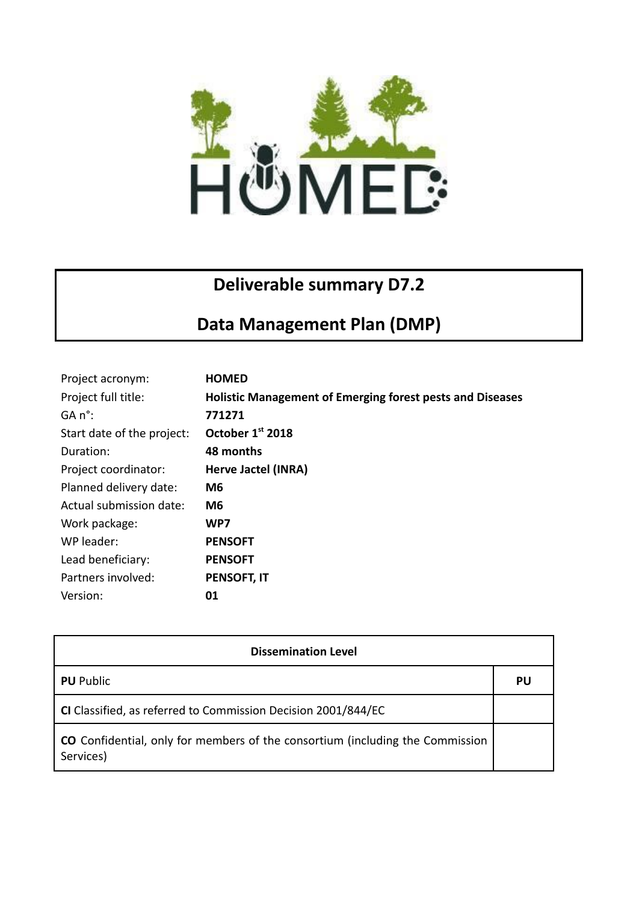

## **Deliverable summary D7.2**

## **Data Management Plan (DMP)**

| Project acronym:           | <b>HOMED</b>                                                     |
|----------------------------|------------------------------------------------------------------|
| Project full title:        | <b>Holistic Management of Emerging forest pests and Diseases</b> |
| $GA n^{\circ}$ :           | 771271                                                           |
| Start date of the project: | October 1st 2018                                                 |
| Duration:                  | 48 months                                                        |
| Project coordinator:       | Herve Jactel (INRA)                                              |
| Planned delivery date:     | M6                                                               |
| Actual submission date:    | M <sub>6</sub>                                                   |
| Work package:              | WP7                                                              |
| WP leader:                 | <b>PENSOFT</b>                                                   |
| Lead beneficiary:          | <b>PENSOFT</b>                                                   |
| Partners involved:         | <b>PENSOFT, IT</b>                                               |
| Version:                   | 01                                                               |

| <b>Dissemination Level</b>                                                                 |    |  |
|--------------------------------------------------------------------------------------------|----|--|
| <b>PU</b> Public                                                                           | PU |  |
| CI Classified, as referred to Commission Decision 2001/844/EC                              |    |  |
| CO Confidential, only for members of the consortium (including the Commission<br>Services) |    |  |